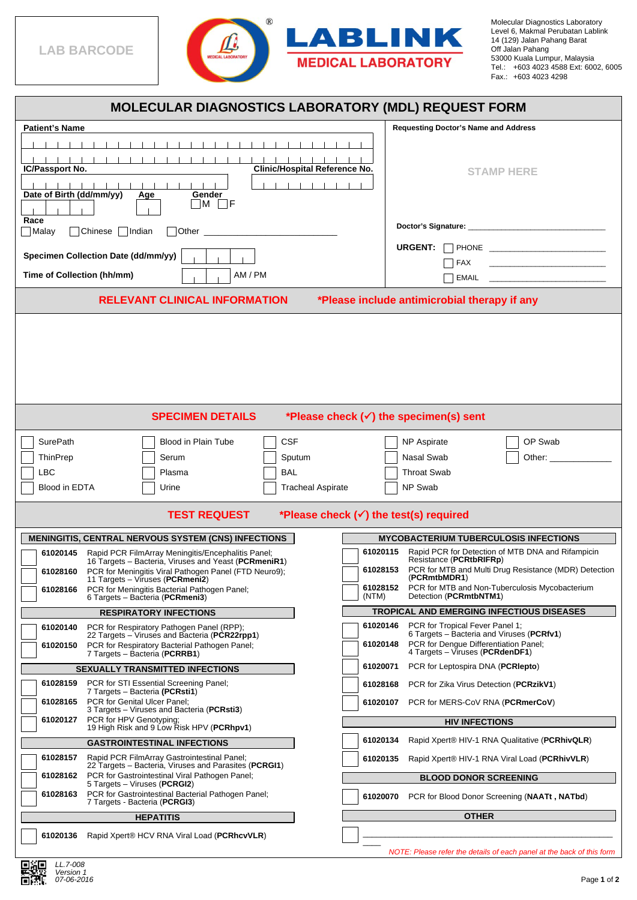

Molecular Diagnostics Laboratory Level 6, Makmal Perubatan Lablink 14 (129) Jalan Pahang Barat Tel.: Fax.: Off Jalan Pahang 53000 Kuala Lumpur, Malaysia +603 4023 4588 Ext: 6002, 6005 +603 4023 4298

| <b>MOLECULAR DIAGNOSTICS LABORATORY (MDL) REQUEST FORM</b>                                                                                                                                                                                                     |                                                                                                                                                                                  |  |
|----------------------------------------------------------------------------------------------------------------------------------------------------------------------------------------------------------------------------------------------------------------|----------------------------------------------------------------------------------------------------------------------------------------------------------------------------------|--|
| <b>Patient's Name</b>                                                                                                                                                                                                                                          | <b>Requesting Doctor's Name and Address</b>                                                                                                                                      |  |
| <b>Clinic/Hospital Reference No.</b><br>IC/Passport No.<br>.<br>Date of Birth (dd/mm/yy)<br>Gender<br>Age<br>$\Box$ M $\Box$ F                                                                                                                                 | <b>STAMP HERE</b>                                                                                                                                                                |  |
| Race                                                                                                                                                                                                                                                           |                                                                                                                                                                                  |  |
| Malay<br>Chinese<br>  Indian<br>Other the contract of the contract of the contract of the contract of the contract of the contract of the contract of the contract of the contract of the contract of the contract of the contract of the contract of the cont | <b>URGENT:</b>                                                                                                                                                                   |  |
| Specimen Collection Date (dd/mm/yy)                                                                                                                                                                                                                            | <u> 1989 - Johann Barn, mars ann an t-Amhain</u><br>FAX                                                                                                                          |  |
| Time of Collection (hh/mm)<br>AM / PM                                                                                                                                                                                                                          | EMAIL                                                                                                                                                                            |  |
| <b>RELEVANT CLINICAL INFORMATION</b><br>*Please include antimicrobial therapy if any                                                                                                                                                                           |                                                                                                                                                                                  |  |
|                                                                                                                                                                                                                                                                |                                                                                                                                                                                  |  |
| *Please check $(\checkmark)$ the specimen(s) sent<br><b>SPECIMEN DETAILS</b>                                                                                                                                                                                   |                                                                                                                                                                                  |  |
| <b>CSF</b><br><b>SurePath</b><br><b>Blood in Plain Tube</b><br>ThinPrep<br>Sputum<br>Serum<br>LBC<br><b>BAL</b><br>Plasma<br>Blood in EDTA<br><b>Tracheal Aspirate</b><br>Urine                                                                                | <b>NP Aspirate</b><br>OP Swab<br>Nasal Swab<br>Other:<br><b>Throat Swab</b><br>NP Swab                                                                                           |  |
| <b>TEST REQUEST</b><br>*Please check $(\checkmark)$ the test(s) required                                                                                                                                                                                       |                                                                                                                                                                                  |  |
| <b>MENINGITIS, CENTRAL NERVOUS SYSTEM (CNS) INFECTIONS</b>                                                                                                                                                                                                     | <b>MYCOBACTERIUM TUBERCULOSIS INFECTIONS</b>                                                                                                                                     |  |
| Rapid PCR FilmArray Meningitis/Encephalitis Panel;<br>61020145<br>16 Targets - Bacteria, Viruses and Yeast (PCRmeniR1)                                                                                                                                         | Rapid PCR for Detection of MTB DNA and Rifampicin<br>61020115<br>Resistance (PCRtbRIFRp)                                                                                         |  |
| PCR for Meningitis Viral Pathogen Panel (FTD Neuro9);<br>61028160<br>11 Targets - Viruses (PCRmeni2)                                                                                                                                                           | PCR for MTB and Multi Drug Resistance (MDR) Detection<br>61028153<br>(PCRmtbMDR1)                                                                                                |  |
| PCR for Meningitis Bacterial Pathogen Panel;<br>61028166<br>(NTM)<br>6 Targets - Bacteria (PCRmeni3)                                                                                                                                                           | PCR for MTB and Non-Tuberculosis Mycobacterium<br>61028152<br>Detection (PCRmtbNTM1)                                                                                             |  |
| <b>RESPIRATORY INFECTIONS</b>                                                                                                                                                                                                                                  | TROPICAL AND EMERGING INFECTIOUS DISEASES                                                                                                                                        |  |
| PCR for Respiratory Pathogen Panel (RPP);<br>61020140<br>22 Targets - Viruses and Bacteria (PCR22rpp1)<br>PCR for Respiratory Bacterial Pathogen Panel;<br>61020150<br>7 Targets - Bacteria (PCRRB1)                                                           | PCR for Tropical Fever Panel 1;<br>61020146<br>6 Targets – Bacteria and Viruses (PCRfv1)<br>PCR for Dengue Differentiation Panel;<br>61020148<br>4 Targets - Viruses (PCRdenDF1) |  |
| <b>SEXUALLY TRANSMITTED INFECTIONS</b>                                                                                                                                                                                                                         | PCR for Leptospira DNA ( <b>PCRIepto</b> )<br>61020071                                                                                                                           |  |
| PCR for STI Essential Screening Panel;<br>61028159<br>7 Targets - Bacteria (PCRsti1)                                                                                                                                                                           | PCR for Zika Virus Detection (PCRzikV1)<br>61028168                                                                                                                              |  |
| PCR for Genital Ulcer Panel;<br>61028165<br>3 Targets - Viruses and Bacteria (PCRsti3)                                                                                                                                                                         | PCR for MERS-CoV RNA (PCRmerCoV)<br>61020107                                                                                                                                     |  |
| PCR for HPV Genotyping:<br>61020127<br>19 High Risk and 9 Low Risk HPV (PCRhpv1)                                                                                                                                                                               | <b>HIV INFECTIONS</b>                                                                                                                                                            |  |
| <b>GASTROINTESTINAL INFECTIONS</b>                                                                                                                                                                                                                             | 61020134<br>Rapid Xpert® HIV-1 RNA Qualitative (PCRhivQLR)                                                                                                                       |  |
| Rapid PCR FilmArray Gastrointestinal Panel;<br>61028157<br>22 Targets - Bacteria, Viruses and Parasites (PCRGI1)                                                                                                                                               | Rapid Xpert® HIV-1 RNA Viral Load (PCRhivVLR)<br>61020135                                                                                                                        |  |
| PCR for Gastrointestinal Viral Pathogen Panel;<br>61028162<br>5 Targets - Viruses (PCRGI2)                                                                                                                                                                     | <b>BLOOD DONOR SCREENING</b>                                                                                                                                                     |  |
| PCR for Gastrointestinal Bacterial Pathogen Panel;<br>61028163<br>7 Targets - Bacteria (PCRGI3)                                                                                                                                                                | PCR for Blood Donor Screening (NAATt, NATbd)<br>61020070                                                                                                                         |  |
| <b>HEPATITIS</b>                                                                                                                                                                                                                                               | <b>OTHER</b>                                                                                                                                                                     |  |
| Rapid Xpert® HCV RNA Viral Load (PCRhcvVLR)<br>61020136                                                                                                                                                                                                        |                                                                                                                                                                                  |  |
|                                                                                                                                                                                                                                                                | NOTE: Please refer the details of each panel at the back of this form                                                                                                            |  |